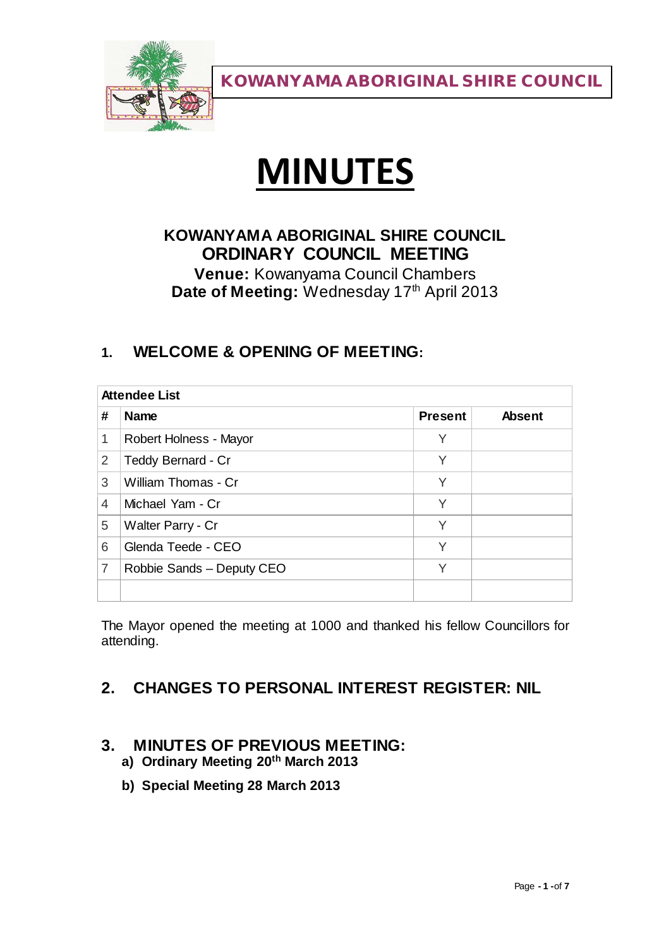

# **MINUTES**

# **KOWANYAMA ABORIGINAL SHIRE COUNCIL ORDINARY COUNCIL MEETING**

**Venue:** Kowanyama Council Chambers Date of Meeting: Wednesday 17<sup>th</sup> April 2013

# **1. WELCOME & OPENING OF MEETING:**

| <b>Attendee List</b>           |                |               |
|--------------------------------|----------------|---------------|
| #<br><b>Name</b>               | <b>Present</b> | <b>Absent</b> |
| 1<br>Robert Holness - Mayor    | Υ              |               |
| Teddy Bernard - Cr<br>2        | Υ              |               |
| 3<br>William Thomas - Cr       | Υ              |               |
| 4<br>Michael Yam - Cr          | Υ              |               |
| 5<br>Walter Parry - Cr         | Υ              |               |
| Glenda Teede - CEO<br>6        | Υ              |               |
| 7<br>Robbie Sands - Deputy CEO | Υ              |               |
|                                |                |               |

The Mayor opened the meeting at 1000 and thanked his fellow Councillors for attending.

# **2. CHANGES TO PERSONAL INTEREST REGISTER: NIL**

## **3. MINUTES OF PREVIOUS MEETING:**

- **a) Ordinary Meeting 20th March 2013**
- **b) Special Meeting 28 March 2013**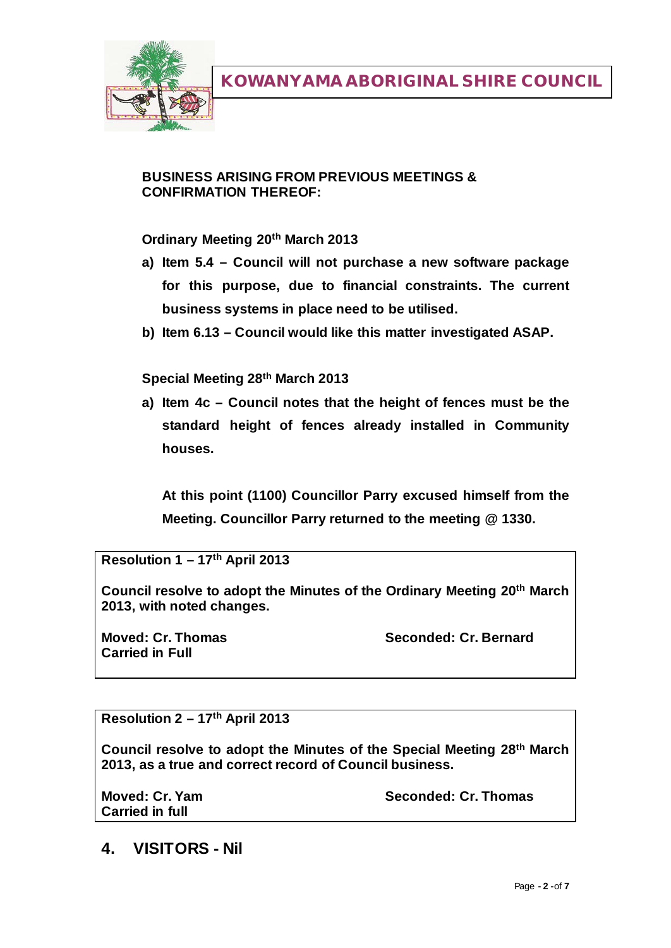

#### **BUSINESS ARISING FROM PREVIOUS MEETINGS & CONFIRMATION THEREOF:**

#### **Ordinary Meeting 20th March 2013**

- **a) Item 5.4 – Council will not purchase a new software package for this purpose, due to financial constraints. The current business systems in place need to be utilised.**
- **b) Item 6.13 – Council would like this matter investigated ASAP.**

#### **Special Meeting 28th March 2013**

**a) Item 4c – Council notes that the height of fences must be the standard height of fences already installed in Community houses.** 

**At this point (1100) Councillor Parry excused himself from the Meeting. Councillor Parry returned to the meeting @ 1330.**

**Resolution 1 – 17th April 2013**

**Council resolve to adopt the Minutes of the Ordinary Meeting 20th March 2013, with noted changes.**

**Carried in Full**

**Moved: Cr. Thomas Seconded: Cr. Bernard**

**Resolution 2 – 17th April 2013**

**Council resolve to adopt the Minutes of the Special Meeting 28th March 2013, as a true and correct record of Council business.**

**Carried in full**

**Moved: Cr. Yam Seconded: Cr. Thomas**

**4. VISITORS - Nil**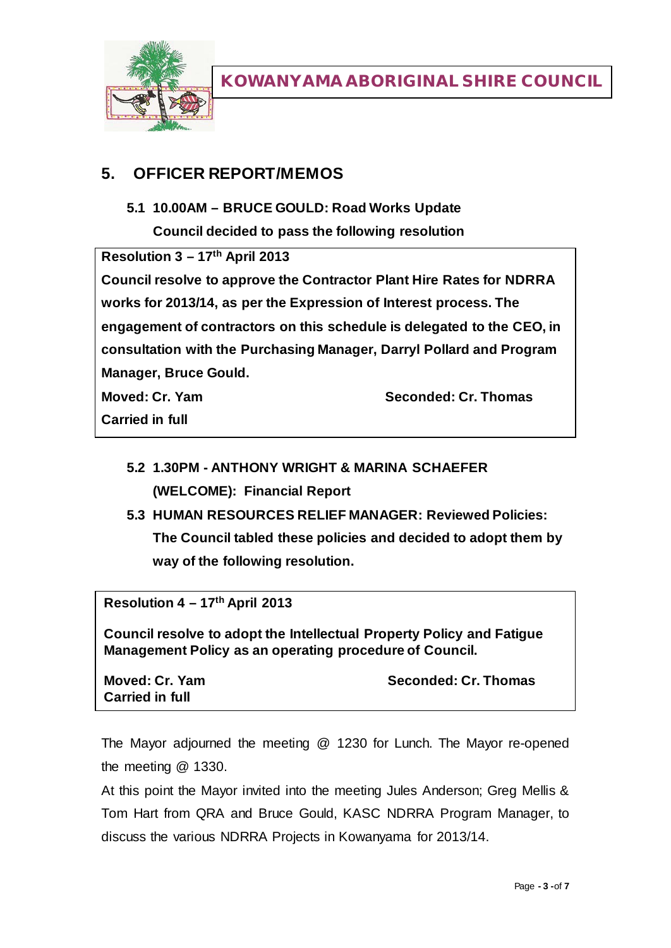

## **5. OFFICER REPORT/MEMOS**

**5.1 10.00AM – BRUCE GOULD: Road Works Update**

**Council decided to pass the following resolution**

**Resolution 3 – 17th April 2013**

**Council resolve to approve the Contractor Plant Hire Rates for NDRRA works for 2013/14, as per the Expression of Interest process. The engagement of contractors on this schedule is delegated to the CEO, in consultation with the Purchasing Manager, Darryl Pollard and Program Manager, Bruce Gould.**

**Moved: Cr. Yam Seconded: Cr. Thomas**

**Carried in full**

- **5.2 1.30PM - ANTHONY WRIGHT & MARINA SCHAEFER (WELCOME): Financial Report**
- **5.3 HUMAN RESOURCES RELIEF MANAGER: Reviewed Policies: The Council tabled these policies and decided to adopt them by way of the following resolution.**

**Resolution 4 – 17th April 2013**

**Council resolve to adopt the Intellectual Property Policy and Fatigue Management Policy as an operating procedure of Council.**

**Carried in full**

**Moved: Cr. Yam Seconded: Cr. Thomas**

The Mayor adjourned the meeting @ 1230 for Lunch. The Mayor re-opened the meeting @ 1330.

At this point the Mayor invited into the meeting Jules Anderson; Greg Mellis & Tom Hart from QRA and Bruce Gould, KASC NDRRA Program Manager, to discuss the various NDRRA Projects in Kowanyama for 2013/14.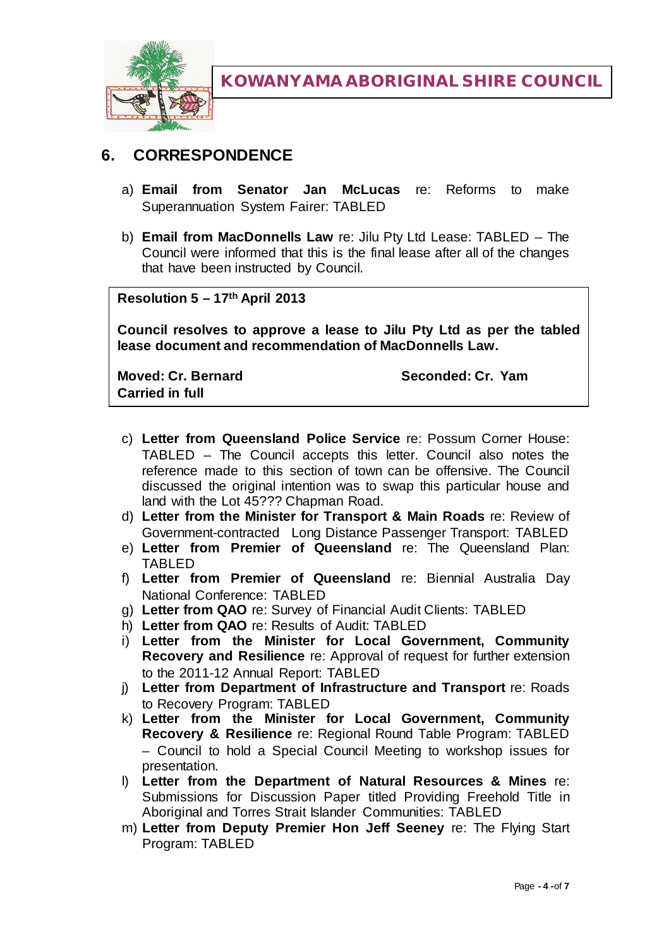

# **6. CORRESPONDENCE**

- a) **Email from Senator Jan McLucas** re: Reforms to make Superannuation System Fairer: TABLED
- b) **Email from MacDonnells Law** re: Jilu Pty Ltd Lease: TABLED The Council were informed that this is the final lease after all of the changes that have been instructed by Council.

**Resolution 5 – 17th April 2013**

**Council resolves to approve a lease to Jilu Pty Ltd as per the tabled lease document and recommendation of MacDonnells Law.**

**Moved: Cr. Bernard Seconded: Cr. Yam Carried in full**

- c) **Letter from Queensland Police Service** re: Possum Corner House: TABLED – The Council accepts this letter. Council also notes the reference made to this section of town can be offensive. The Council discussed the original intention was to swap this particular house and land with the Lot 45??? Chapman Road.
- d) **Letter from the Minister for Transport & Main Roads** re: Review of Government-contracted Long Distance Passenger Transport: TABLED
- e) **Letter from Premier of Queensland** re: The Queensland Plan: TABLED
- f) **Letter from Premier of Queensland** re: Biennial Australia Day National Conference: TABLED
- g) **Letter from QAO** re: Survey of Financial Audit Clients: TABLED
- h) **Letter from QAO** re: Results of Audit: TABLED
- i) **Letter from the Minister for Local Government, Community Recovery and Resilience** re: Approval of request for further extension to the 2011-12 Annual Report: TABLED
- j) **Letter from Department of Infrastructure and Transport** re: Roads to Recovery Program: TABLED
- k) **Letter from the Minister for Local Government, Community Recovery & Resilience** re: Regional Round Table Program: TABLED – Council to hold a Special Council Meeting to workshop issues for presentation.
- l) **Letter from the Department of Natural Resources & Mines** re: Submissions for Discussion Paper titled Providing Freehold Title in Aboriginal and Torres Strait Islander Communities: TABLED
- m) **Letter from Deputy Premier Hon Jeff Seeney** re: The Flying Start Program: TABLED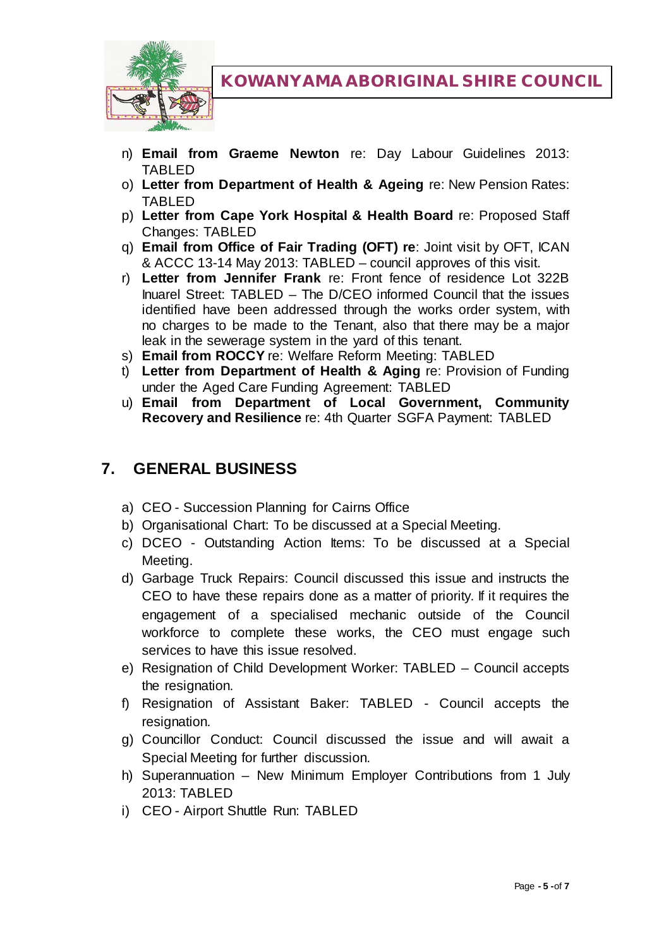

- n) **Email from Graeme Newton** re: Day Labour Guidelines 2013: TABLED
- o) **Letter from Department of Health & Ageing** re: New Pension Rates: TABLED
- p) **Letter from Cape York Hospital & Health Board** re: Proposed Staff Changes: TABLED
- q) **Email from Office of Fair Trading (OFT) re**: Joint visit by OFT, ICAN & ACCC 13-14 May 2013: TABLED – council approves of this visit.
- r) **Letter from Jennifer Frank** re: Front fence of residence Lot 322B Inuarel Street: TABLED – The D/CEO informed Council that the issues identified have been addressed through the works order system, with no charges to be made to the Tenant, also that there may be a major leak in the sewerage system in the yard of this tenant.
- s) **Email from ROCCY** re: Welfare Reform Meeting: TABLED
- t) **Letter from Department of Health & Aging** re: Provision of Funding under the Aged Care Funding Agreement: TABLED
- u) **Email from Department of Local Government, Community Recovery and Resilience** re: 4th Quarter SGFA Payment: TABLED

## **7. GENERAL BUSINESS**

- a) CEO Succession Planning for Cairns Office
- b) Organisational Chart: To be discussed at a Special Meeting.
- c) DCEO Outstanding Action Items: To be discussed at a Special Meeting.
- d) Garbage Truck Repairs: Council discussed this issue and instructs the CEO to have these repairs done as a matter of priority. If it requires the engagement of a specialised mechanic outside of the Council workforce to complete these works, the CEO must engage such services to have this issue resolved.
- e) Resignation of Child Development Worker: TABLED Council accepts the resignation.
- f) Resignation of Assistant Baker: TABLED Council accepts the resignation.
- g) Councillor Conduct: Council discussed the issue and will await a Special Meeting for further discussion.
- h) Superannuation New Minimum Employer Contributions from 1 July 2013: TABLED
- i) CEO Airport Shuttle Run: TABLED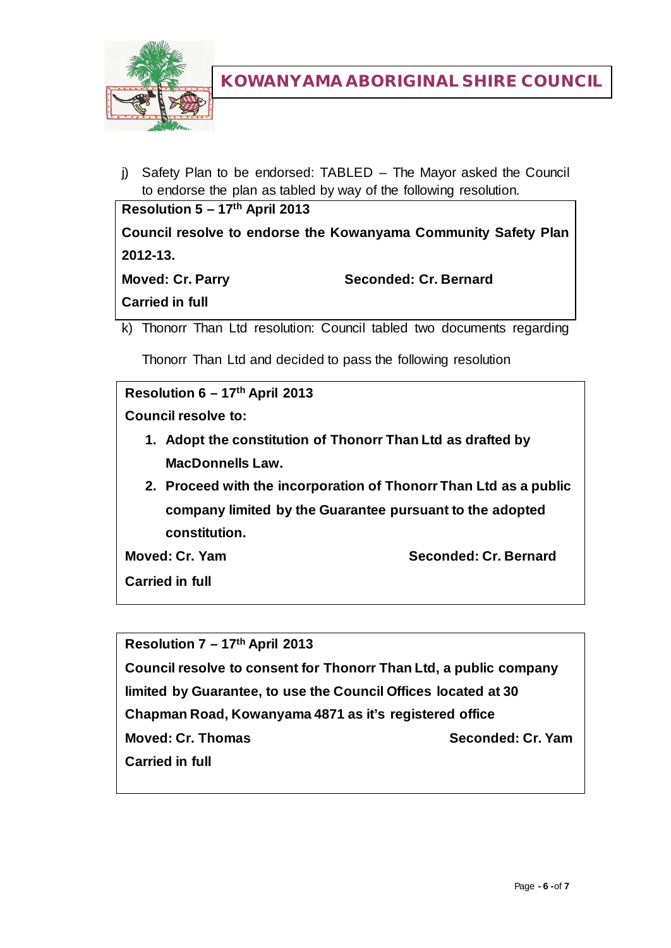

j) Safety Plan to be endorsed: TABLED – The Mayor asked the Council to endorse the plan as tabled by way of the following resolution.

| Resolution $5 - 17$ <sup>th</sup> April 2013                   |                       |  |  |
|----------------------------------------------------------------|-----------------------|--|--|
| Council resolve to endorse the Kowanyama Community Safety Plan |                       |  |  |
| $2012 - 13.$                                                   |                       |  |  |
| <b>Moved: Cr. Parry</b>                                        | Seconded: Cr. Bernard |  |  |
| <b>Carried in full</b>                                         |                       |  |  |
|                                                                |                       |  |  |

k) Thonorr Than Ltd resolution: Council tabled two documents regarding

Thonorr Than Ltd and decided to pass the following resolution

```
Resolution 6 – 17th April 2013
Council resolve to:
   1. Adopt the constitution of Thonorr Than Ltd as drafted by 
     MacDonnells Law.
   2. Proceed with the incorporation of Thonorr Than Ltd as a public 
     company limited by the Guarantee pursuant to the adopted 
     constitution.
Moved: Cr. Yam Seconded: Cr. Bernard
Carried in full
```
**Resolution 7 – 17th April 2013 Council resolve to consent for Thonorr Than Ltd, a public company limited by Guarantee, to use the Council Offices located at 30 Chapman Road, Kowanyama 4871 as it's registered office Moved: Cr. Thomas Seconded: Cr. Yam Carried in full**